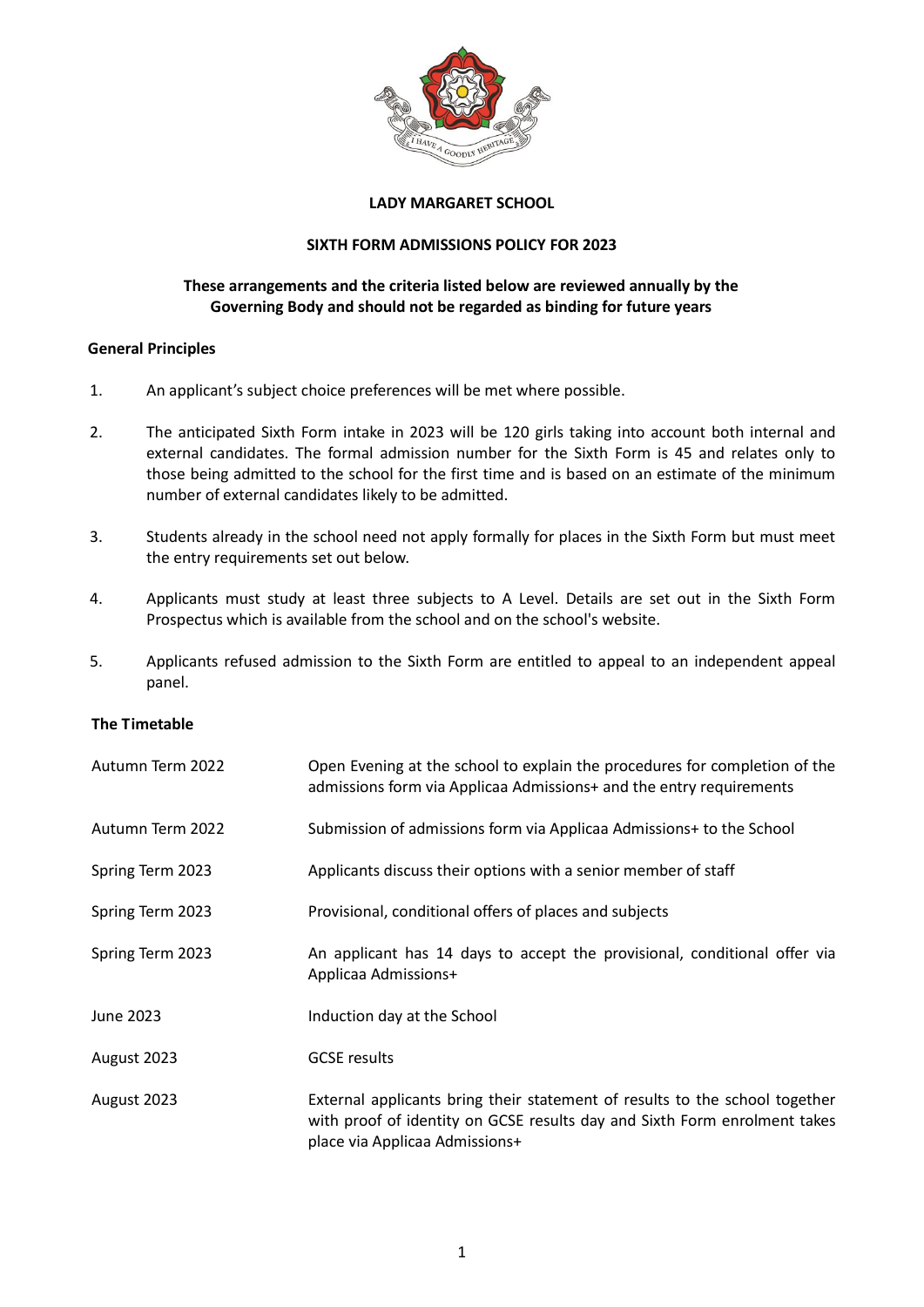

## **LADY MARGARET SCHOOL**

## **SIXTH FORM ADMISSIONS POLICY FOR 2023**

# **These arrangements and the criteria listed below are reviewed annually by the Governing Body and should not be regarded as binding for future years**

# **General Principles**

- 1. An applicant's subject choice preferences will be met where possible.
- 2. The anticipated Sixth Form intake in 2023 will be 120 girls taking into account both internal and external candidates. The formal admission number for the Sixth Form is 45 and relates only to those being admitted to the school for the first time and is based on an estimate of the minimum number of external candidates likely to be admitted.
- 3. Students already in the school need not apply formally for places in the Sixth Form but must meet the entry requirements set out below.
- 4. Applicants must study at least three subjects to A Level. Details are set out in the Sixth Form Prospectus which is available from the school and on the school's website.
- 5. Applicants refused admission to the Sixth Form are entitled to appeal to an independent appeal panel.

# **The Timetable**

| Autumn Term 2022 | Open Evening at the school to explain the procedures for completion of the<br>admissions form via Applicaa Admissions+ and the entry requirements                                          |
|------------------|--------------------------------------------------------------------------------------------------------------------------------------------------------------------------------------------|
| Autumn Term 2022 | Submission of admissions form via Applicaa Admissions+ to the School                                                                                                                       |
| Spring Term 2023 | Applicants discuss their options with a senior member of staff                                                                                                                             |
| Spring Term 2023 | Provisional, conditional offers of places and subjects                                                                                                                                     |
| Spring Term 2023 | An applicant has 14 days to accept the provisional, conditional offer via<br>Applicaa Admissions+                                                                                          |
| June 2023        | Induction day at the School                                                                                                                                                                |
| August 2023      | <b>GCSE</b> results                                                                                                                                                                        |
| August 2023      | External applicants bring their statement of results to the school together<br>with proof of identity on GCSE results day and Sixth Form enrolment takes<br>place via Applicaa Admissions+ |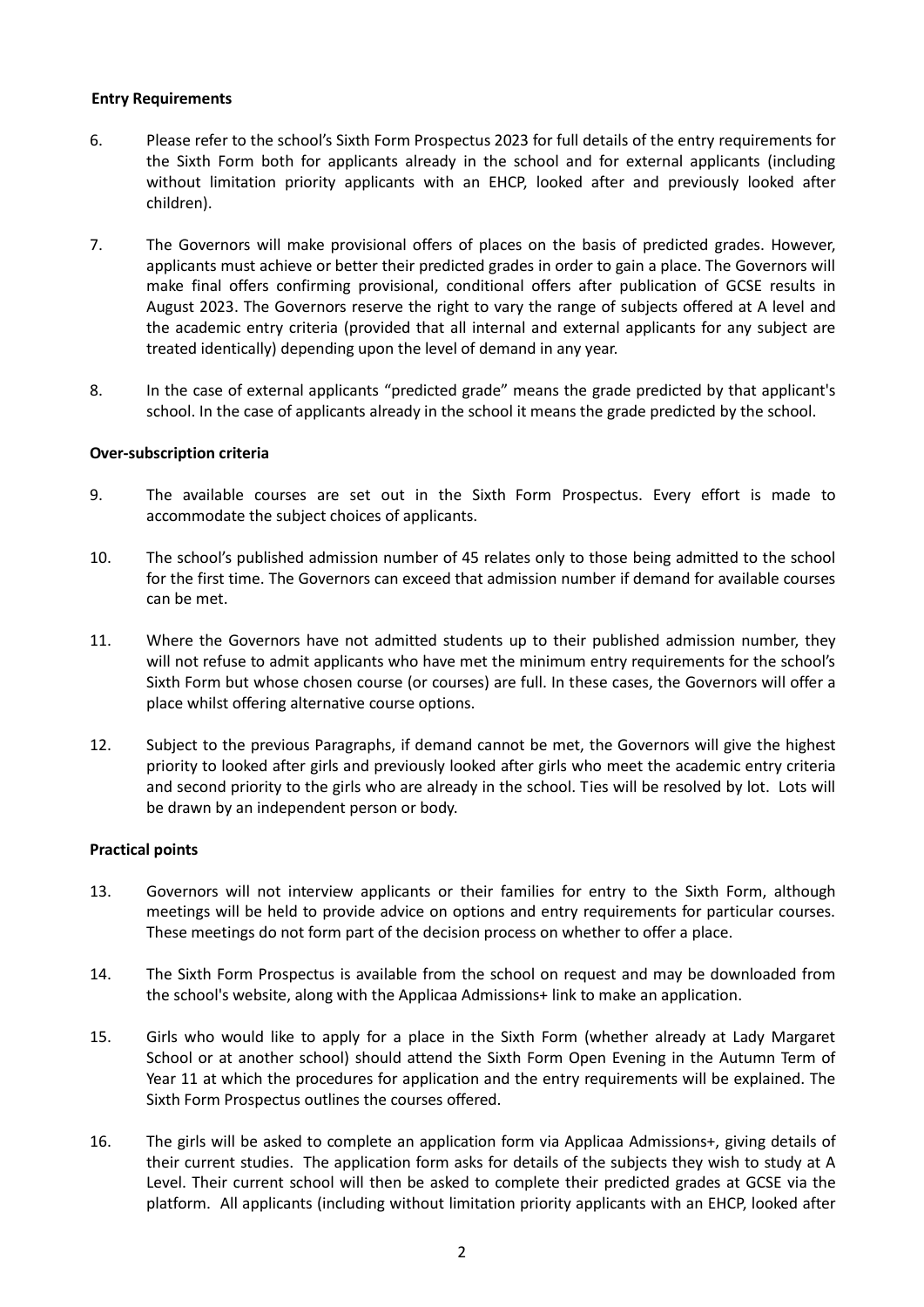## **Entry Requirements**

- 6. Please refer to the school's Sixth Form Prospectus 2023 for full details of the entry requirements for the Sixth Form both for applicants already in the school and for external applicants (including without limitation priority applicants with an EHCP, looked after and previously looked after children).
- 7. The Governors will make provisional offers of places on the basis of predicted grades. However, applicants must achieve or better their predicted grades in order to gain a place. The Governors will make final offers confirming provisional, conditional offers after publication of GCSE results in August 2023. The Governors reserve the right to vary the range of subjects offered at A level and the academic entry criteria (provided that all internal and external applicants for any subject are treated identically) depending upon the level of demand in any year.
- 8. In the case of external applicants "predicted grade" means the grade predicted by that applicant's school. In the case of applicants already in the school it means the grade predicted by the school.

#### **Over-subscription criteria**

- 9. The available courses are set out in the Sixth Form Prospectus. Every effort is made to accommodate the subject choices of applicants.
- 10. The school's published admission number of 45 relates only to those being admitted to the school for the first time. The Governors can exceed that admission number if demand for available courses can be met.
- 11. Where the Governors have not admitted students up to their published admission number, they will not refuse to admit applicants who have met the minimum entry requirements for the school's Sixth Form but whose chosen course (or courses) are full. In these cases, the Governors will offer a place whilst offering alternative course options.
- 12. Subject to the previous Paragraphs, if demand cannot be met, the Governors will give the highest priority to looked after girls and previously looked after girls who meet the academic entry criteria and second priority to the girls who are already in the school. Ties will be resolved by lot. Lots will be drawn by an independent person or body.

#### **Practical points**

- 13. Governors will not interview applicants or their families for entry to the Sixth Form, although meetings will be held to provide advice on options and entry requirements for particular courses. These meetings do not form part of the decision process on whether to offer a place.
- 14. The Sixth Form Prospectus is available from the school on request and may be downloaded from the school's website, along with the Applicaa Admissions+ link to make an application.
- 15. Girls who would like to apply for a place in the Sixth Form (whether already at Lady Margaret School or at another school) should attend the Sixth Form Open Evening in the Autumn Term of Year 11 at which the procedures for application and the entry requirements will be explained. The Sixth Form Prospectus outlines the courses offered.
- 16. The girls will be asked to complete an application form via Applicaa Admissions+, giving details of their current studies. The application form asks for details of the subjects they wish to study at A Level. Their current school will then be asked to complete their predicted grades at GCSE via the platform. All applicants (including without limitation priority applicants with an EHCP, looked after